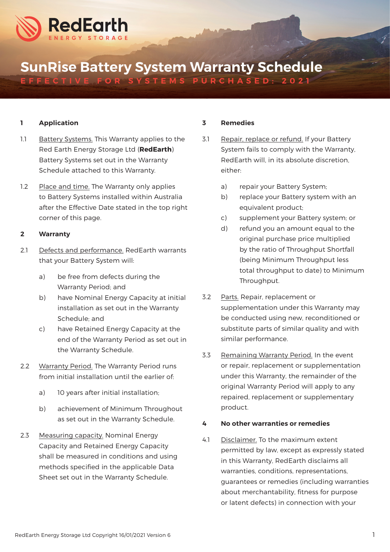

# SunRise Battery System Warranty Schedule

EFFECTIVE FOR SYSTEMS PURCHASED: 2021

## 1 Application

- 1.1 Battery Systems. This Warranty applies to the Red Earth Energy Storage Ltd (RedEarth) Battery Systems set out in the Warranty Schedule attached to this Warranty.
- 1.2 Place and time. The Warranty only applies to Battery Systems installed within Australia after the Effective Date stated in the top right corner of this page.

### 2 Warranty

- 2.1 Defects and performance. RedEarth warrants that your Battery System will:
	- a) be free from defects during the Warranty Period; and
	- b) have Nominal Energy Capacity at initial installation as set out in the Warranty Schedule; and
	- c) have Retained Energy Capacity at the end of the Warranty Period as set out in the Warranty Schedule.
- 2.2 Warranty Period. The Warranty Period runs from initial installation until the earlier of:
	- a) 10 years after initial installation;
	- b) achievement of Minimum Throughout as set out in the Warranty Schedule.
- 2.3 Measuring capacity. Nominal Energy Capacity and Retained Energy Capacity shall be measured in conditions and using methods specified in the applicable Data Sheet set out in the Warranty Schedule.

#### 3 Remedies

- 3.1 Repair, replace or refund. If your Battery System fails to comply with the Warranty, RedEarth will, in its absolute discretion, either:
	- a) repair your Battery System;
	- b) replace your Battery system with an equivalent product;
	- c) supplement your Battery system; or
	- d) refund you an amount equal to the original purchase price multiplied by the ratio of Throughput Shortfall (being Minimum Throughput less total throughput to date) to Minimum Throughput.
- 3.2 Parts. Repair, replacement or supplementation under this Warranty may be conducted using new, reconditioned or substitute parts of similar quality and with similar performance.
- 3.3 Remaining Warranty Period. In the event or repair, replacement or supplementation under this Warranty, the remainder of the original Warranty Period will apply to any repaired, replacement or supplementary product.

## 4 No other warranties or remedies

4.1 Disclaimer. To the maximum extent permitted by law, except as expressly stated in this Warranty, RedEarth disclaims all warranties, conditions, representations, guarantees or remedies (including warranties about merchantability, fitness for purpose or latent defects) in connection with your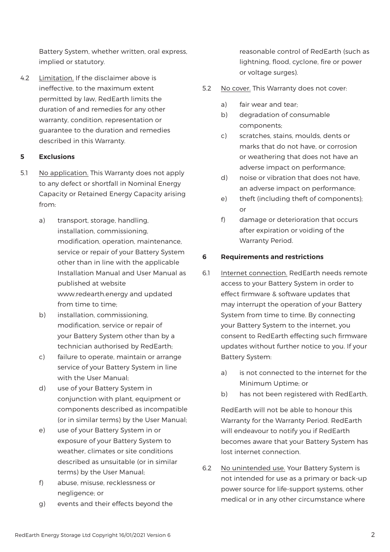Battery System, whether written, oral express, implied or statutory.

4.2 Limitation. If the disclaimer above is ineffective, to the maximum extent permitted by law, RedEarth limits the duration of and remedies for any other warranty, condition, representation or guarantee to the duration and remedies described in this Warranty.

## 5 Exclusions

- 5.1 No application. This Warranty does not apply to any defect or shortfall in Nominal Energy Capacity or Retained Energy Capacity arising from:
	- a) transport, storage, handling, installation, commissioning, modification, operation, maintenance, service or repair of your Battery System other than in line with the applicable Installation Manual and User Manual as published at website www.redearth.energy and updated from time to time;
	- b) installation, commissioning, modification, service or repair of your Battery System other than by a technician authorised by RedEarth;
	- c) failure to operate, maintain or arrange service of your Battery System in line with the User Manual;
	- d) use of your Battery System in conjunction with plant, equipment or components described as incompatible (or in similar terms) by the User Manual;
	- e) use of your Battery System in or exposure of your Battery System to weather, climates or site conditions described as unsuitable (or in similar terms) by the User Manual;
	- f) abuse, misuse, recklessness or negligence; or
	- g) events and their effects beyond the

reasonable control of RedEarth (such as lightning, flood, cyclone, fire or power or voltage surges).

- 5.2 No cover. This Warranty does not cover:
	- a) fair wear and tear;
	- b) degradation of consumable components;
	- c) scratches, stains, moulds, dents or marks that do not have, or corrosion or weathering that does not have an adverse impact on performance;
	- d) noise or vibration that does not have, an adverse impact on performance;
	- e) theft (including theft of components); or
	- f) damage or deterioration that occurs after expiration or voiding of the Warranty Period.

## 6 Requirements and restrictions

- 6.1 Internet connection. RedEarth needs remote access to your Battery System in order to effect firmware & software updates that may interrupt the operation of your Battery System from time to time. By connecting your Battery System to the internet, you consent to RedEarth effecting such firmware updates without further notice to you. If your Battery System:
	- a) is not connected to the internet for the Minimum Uptime; or
	- b) has not been registered with RedEarth,

RedEarth will not be able to honour this Warranty for the Warranty Period. RedEarth will endeavour to notify you if RedEarth becomes aware that your Battery System has lost internet connection.

6.2 No unintended use. Your Battery System is not intended for use as a primary or back-up power source for life-support systems, other medical or in any other circumstance where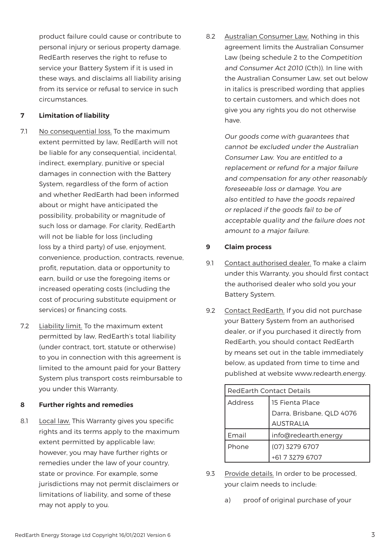product failure could cause or contribute to personal injury or serious property damage. RedEarth reserves the right to refuse to service your Battery System if it is used in these ways, and disclaims all liability arising from its service or refusal to service in such circumstances.

## 7 Limitation of liability

- 7.1 No consequential loss. To the maximum extent permitted by law, RedEarth will not be liable for any consequential, incidental, indirect, exemplary, punitive or special damages in connection with the Battery System, regardless of the form of action and whether RedEarth had been informed about or might have anticipated the possibility, probability or magnitude of such loss or damage. For clarity, RedEarth will not be liable for loss (including loss by a third party) of use, enjoyment, convenience, production, contracts, revenue, profit, reputation, data or opportunity to earn, build or use the foregoing items or increased operating costs (including the cost of procuring substitute equipment or services) or financing costs.
- 7.2 Liability limit. To the maximum extent permitted by law, RedEarth's total liability (under contract, tort, statute or otherwise) to you in connection with this agreement is limited to the amount paid for your Battery System plus transport costs reimbursable to you under this Warranty.

## 8 Further rights and remedies

8.1 Local law. This Warranty gives you specific rights and its terms apply to the maximum extent permitted by applicable law; however, you may have further rights or remedies under the law of your country, state or province. For example, some jurisdictions may not permit disclaimers or limitations of liability, and some of these may not apply to you.

8.2 Australian Consumer Law. Nothing in this agreement limits the Australian Consumer Law (being schedule 2 to the Competition and Consumer Act 2010 (Cth)). In line with the Australian Consumer Law, set out below in italics is prescribed wording that applies to certain customers, and which does not give you any rights you do not otherwise have.

> Our goods come with guarantees that cannot be excluded under the Australian Consumer Law. You are entitled to a replacement or refund for a major failure and compensation for any other reasonably foreseeable loss or damage. You are also entitled to have the goods repaired or replaced if the goods fail to be of acceptable quality and the failure does not amount to a major failure.

## 9 Claim process

- 9.1 Contact authorised dealer. To make a claim under this Warranty, you should first contact the authorised dealer who sold you your Battery System.
- 9.2 Contact RedEarth. If you did not purchase your Battery System from an authorised dealer, or if you purchased it directly from RedEarth, you should contact RedEarth by means set out in the table immediately below, as updated from time to time and published at website www.redearth.energy.

| <b>RedEarth Contact Details</b> |                           |  |  |  |
|---------------------------------|---------------------------|--|--|--|
| <b>Address</b>                  | 15 Fienta Place           |  |  |  |
|                                 | Darra, Brisbane, QLD 4076 |  |  |  |
|                                 | <b>AUSTRALIA</b>          |  |  |  |
| Email                           | info@redearth.energy      |  |  |  |
| Phone                           | (07) 3279 6707            |  |  |  |
|                                 | +61 7 3279 6707           |  |  |  |

- 9.3 Provide details. In order to be processed, your claim needs to include:
	- a) proof of original purchase of your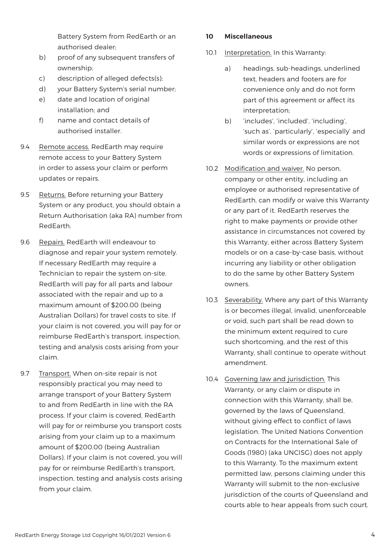Battery System from RedEarth or an authorised dealer;

- b) proof of any subsequent transfers of ownership;
- c) description of alleged defects(s);
- d) your Battery System's serial number;
- e) date and location of original installation; and
- f) name and contact details of authorised installer.
- 9.4 Remote access. RedEarth may require remote access to your Battery System in order to assess your claim or perform updates or repairs.
- 9.5 Returns. Before returning your Battery System or any product, you should obtain a Return Authorisation (aka RA) number from RedEarth.
- 9.6 Repairs. RedEarth will endeavour to diagnose and repair your system remotely. If necessary RedEarth may require a Technician to repair the system on-site. RedEarth will pay for all parts and labour associated with the repair and up to a maximum amount of \$200.00 (being Australian Dollars) for travel costs to site. If your claim is not covered, you will pay for or reimburse RedEarth's transport, inspection, testing and analysis costs arising from your claim.
- 9.7 Transport. When on-site repair is not responsibly practical you may need to arrange transport of your Battery System to and from RedEarth in line with the RA process. If your claim is covered, RedEarth will pay for or reimburse you transport costs arising from your claim up to a maximum amount of \$200.00 (being Australian Dollars). If your claim is not covered, you will pay for or reimburse RedEarth's transport, inspection, testing and analysis costs arising from your claim.

## 10 Miscellaneous

- 10.1 Interpretation. In this Warranty:
	- a) headings, sub-headings, underlined text, headers and footers are for convenience only and do not form part of this agreement or affect its interpretation;
	- b) 'includes', 'included', 'including', 'such as', 'particularly', 'especially' and similar words or expressions are not words or expressions of limitation.
- 10.2 Modification and waiver. No person, company or other entity, including an employee or authorised representative of RedEarth, can modify or waive this Warranty or any part of it. RedEarth reserves the right to make payments or provide other assistance in circumstances not covered by this Warranty, either across Battery System models or on a case-by-case basis, without incurring any liability or other obligation to do the same by other Battery System owners.
- 10.3 Severability. Where any part of this Warranty is or becomes illegal, invalid, unenforceable or void, such part shall be read down to the minimum extent required to cure such shortcoming, and the rest of this Warranty, shall continue to operate without amendment.
- 10.4 Governing law and jurisdiction. This Warranty, or any claim or dispute in connection with this Warranty, shall be, governed by the laws of Queensland, without giving effect to conflict of laws legislation. The United Nations Convention on Contracts for the International Sale of Goods (1980) (aka UNCISG) does not apply to this Warranty. To the maximum extent permitted law, persons claiming under this Warranty will submit to the non-exclusive jurisdiction of the courts of Queensland and courts able to hear appeals from such court.